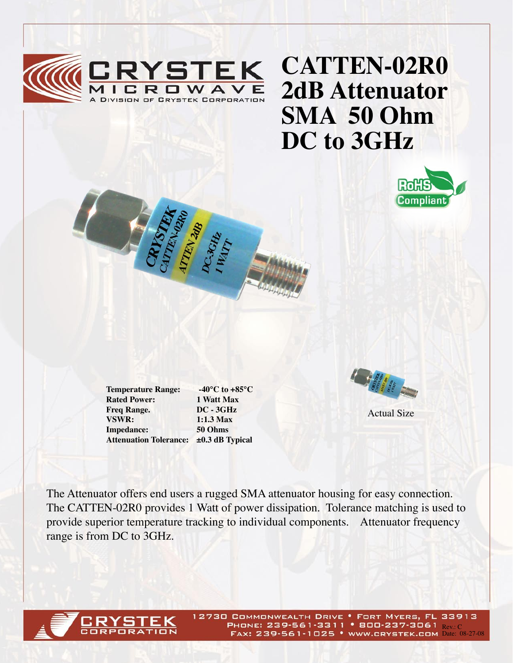

## **CATTEN-02R0 2dB Attenuator SMA 50 Ohm DC to 3GHz**



**Rated Power:** 1 Watt Max<br> **Freq Range.** DC - 3GHz **Freq Range. VSWR: 1:1.3 Max Impedance: 50 Ohms**

**Temperature Range: -40°C to +85°C Attenuation Tolerance: ±0.3 dB Typical**



Actual Size

The Attenuator offers end users a rugged SMA attenuator housing for easy connection. The CATTEN-02R0 provides 1 Watt of power dissipation. Tolerance matching is used to provide superior temperature tracking to individual components. Attenuator frequency range is from DC to 3GHz.



12730 COMMONWEALTH DRIVE . FORT MYERS, FL 33913 PHONE: 239-561-3311 • 800-237-3061 Rev. C FAX: 239-561-1025 • WWW.CRYSTEK.COM Date: 08-27-08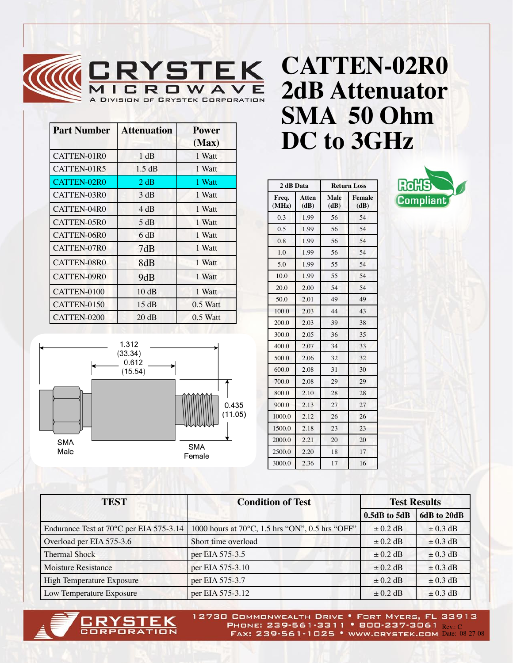

| <b>Part Number</b> | <b>Attenuation</b> | <b>Power</b><br>(Max) |
|--------------------|--------------------|-----------------------|
| CATTEN-01R0        | 1 dB               | 1 Watt                |
| CATTEN-01R5        | 1.5 dB             | 1 Watt                |
| CATTEN-02R0        | 2 dB               | 1 Watt                |
| CATTEN-03R0        | 3 dB               | 1 Watt                |
| CATTEN-04R0        | 4 dB               | 1 Watt                |
| CATTEN-05R0        | 5 dB               | 1 Watt                |
| CATTEN-06R0        | 6 dB               | 1 Watt                |
| CATTEN-07R0        | 7dB                | 1 Watt                |
| CATTEN-08R0        | 8dB                | 1 Watt                |
| CATTEN-09R0        | 9dB                | 1 Watt                |
| CATTEN-0100        | 10dB               | 1 Watt                |
| CATTEN-0150        | 15 dB              | $0.5$ Watt            |
| CATTEN-0200        | 20 dB              | $0.5$ Watt            |



| 2 dB Data      |               | <b>Return Loss</b> |                |
|----------------|---------------|--------------------|----------------|
| Freq.<br>(MHz) | Atten<br>(dB) | Male<br>(dB)       | Female<br>(dB) |
| 0.3            | 1.99          | 56                 | 54             |
| 0.5            | 1.99          | 56                 | 54             |
| 0.8            | 1.99          | 56                 | 54             |
| 1.0            | 1.99          | 56                 | 54             |
| 5.0            | 1.99          | 55                 | 54             |
| 10.0           | 1.99          | 55                 | 54             |
| 20.0           | 2.00          | 54                 | 54             |
| 50.0           | 2.01          | 49                 | 49             |
| 100.0          | 2.03          | 44                 | 43             |
| 200.0          | 2.03          | 39                 | 38             |
| 300.0          | 2.05          | 36                 | 35             |
| 400.0          | 2.07          | 34                 | 33             |
| 500.0          | 2.06          | 32                 | 32             |
| 600.0          | 2.08          | 31                 | 30             |

700.0 2.08 29 29 800.0 2.10 28 28 900.0 2.13 27 27 1000.0 2.12 26 26 1500.0 2.18 23 23 2000.0 2.21 20 20 2500.0 2.20 18 17 3000.0 2.36 17 16

**DC to 3GHz**



| <b>TEST</b>                             | <b>Condition of Test</b>                        | <b>Test Results</b> |              |
|-----------------------------------------|-------------------------------------------------|---------------------|--------------|
|                                         |                                                 | $0.5dB$ to $5dB$    | 6dB to 20dB  |
| Endurance Test at 70°C per EIA 575-3.14 | 1000 hours at 70°C, 1.5 hrs "ON", 0.5 hrs "OFF" | $\pm$ 0.2 dB        | $\pm$ 0.3 dB |
| Overload per EIA 575-3.6                | Short time overload                             | $\pm$ 0.2 dB        | $\pm$ 0.3 dB |
| <b>Thermal Shock</b>                    | per EIA 575-3.5                                 | $\pm$ 0.2 dB        | $\pm$ 0.3 dB |
| <b>Moisture Resistance</b>              | per EIA 575-3.10                                | $\pm$ 0.2 dB        | $\pm$ 0.3 dB |
| High Temperature Exposure               | per EIA 575-3.7                                 | $\pm$ 0.2 dB        | $\pm$ 0.3 dB |
| Low Temperature Exposure                | per EIA 575-3.12                                | $\pm$ 0.2 dB        | $\pm$ 0.3 dB |



12730 COMMONWEALTH DRIVE . FORT MYERS, FL 33913 PHONE: 239-561-3311 • 800-237-3061  $_{\rm Rev.C}$ FAX: 239-561-1025 • WWW.CRYSTEK.COM Date: 08-27-08